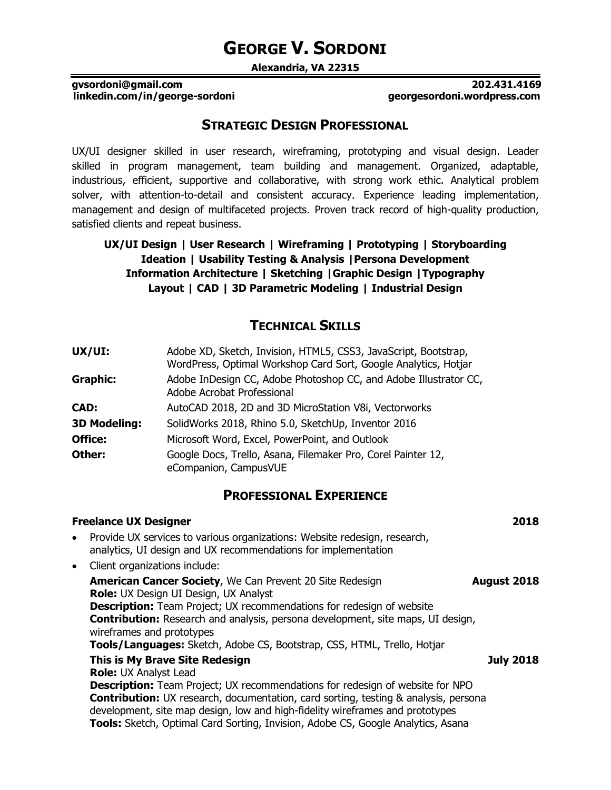# **GEORGE V. SORDONI**

**Alexandria, VA 22315**

#### **gvsordoni@gmail.com 202.431.4169 linkedin.com/in/george-sordoni georgesordoni.wordpress.com**

# **STRATEGIC DESIGN PROFESSIONAL**

UX/UI designer skilled in user research, wireframing, prototyping and visual design. Leader skilled in program management, team building and management. Organized, adaptable, industrious, efficient, supportive and collaborative, with strong work ethic. Analytical problem solver, with attention-to-detail and consistent accuracy. Experience leading implementation, management and design of multifaceted projects. Proven track record of high-quality production, satisfied clients and repeat business.

## **UX/UI Design | User Research | Wireframing | Prototyping | Storyboarding Ideation | Usability Testing & Analysis |Persona Development Information Architecture | Sketching |Graphic Design |Typography Layout | CAD | 3D Parametric Modeling | Industrial Design**

# **TECHNICAL SKILLS**

| UX/UI:              | Adobe XD, Sketch, Invision, HTML5, CSS3, JavaScript, Bootstrap,<br>WordPress, Optimal Workshop Card Sort, Google Analytics, Hotjar |
|---------------------|------------------------------------------------------------------------------------------------------------------------------------|
| <b>Graphic:</b>     | Adobe InDesign CC, Adobe Photoshop CC, and Adobe Illustrator CC,<br>Adobe Acrobat Professional                                     |
| CAD:                | AutoCAD 2018, 2D and 3D MicroStation V8i, Vectorworks                                                                              |
| <b>3D Modeling:</b> | SolidWorks 2018, Rhino 5.0, SketchUp, Inventor 2016                                                                                |
| Office:             | Microsoft Word, Excel, PowerPoint, and Outlook                                                                                     |
| Other:              | Google Docs, Trello, Asana, Filemaker Pro, Corel Painter 12,<br>eCompanion, CampusVUE                                              |

# **PROFESSIONAL EXPERIENCE**

|           | <b>Freelance UX Designer</b>                                                                                                                                                                                                                                                                                                                                                                                                     | 2018             |
|-----------|----------------------------------------------------------------------------------------------------------------------------------------------------------------------------------------------------------------------------------------------------------------------------------------------------------------------------------------------------------------------------------------------------------------------------------|------------------|
| $\bullet$ | Provide UX services to various organizations: Website redesign, research,<br>analytics, UI design and UX recommendations for implementation                                                                                                                                                                                                                                                                                      |                  |
| $\bullet$ | Client organizations include:                                                                                                                                                                                                                                                                                                                                                                                                    |                  |
|           | <b>American Cancer Society, We Can Prevent 20 Site Redesign</b><br>Role: UX Design UI Design, UX Analyst<br><b>Description:</b> Team Project; UX recommendations for redesign of website<br><b>Contribution:</b> Research and analysis, persona development, site maps, UI design,<br>wireframes and prototypes<br>Tools/Languages: Sketch, Adobe CS, Bootstrap, CSS, HTML, Trello, Hotjar                                       | August 2018      |
|           | This is My Brave Site Redesign<br><b>Role: UX Analyst Lead</b><br><b>Description:</b> Team Project; UX recommendations for redesign of website for NPO<br><b>Contribution:</b> UX research, documentation, card sorting, testing & analysis, persona<br>development, site map design, low and high-fidelity wireframes and prototypes<br><b>Tools:</b> Sketch, Optimal Card Sorting, Invision, Adobe CS, Google Analytics, Asana | <b>July 2018</b> |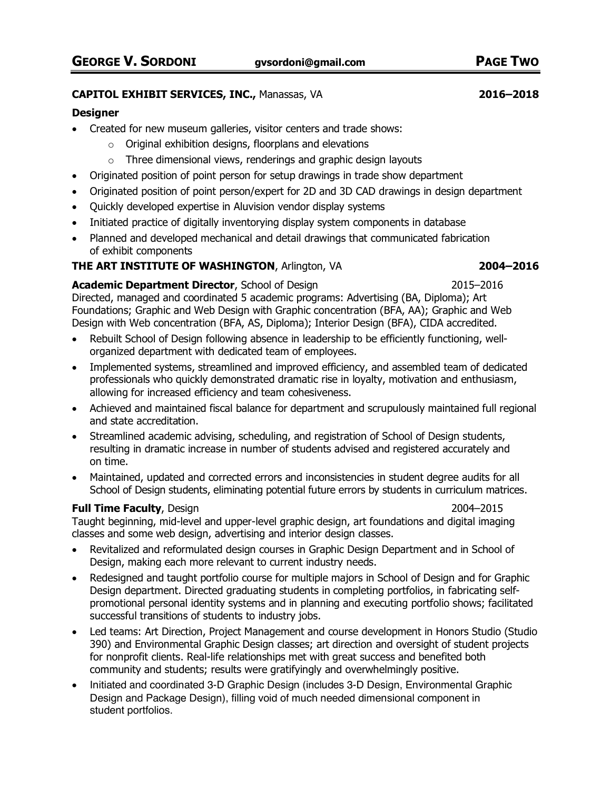#### **CAPITOL EXHIBIT SERVICES, INC.,** Manassas, VA **2016–2018**

#### **Designer**

- Created for new museum galleries, visitor centers and trade shows:
	- $\circ$  Original exhibition designs, floorplans and elevations
	- $\circ$  Three dimensional views, renderings and graphic design layouts
- Originated position of point person for setup drawings in trade show department
- Originated position of point person/expert for 2D and 3D CAD drawings in design department
- Quickly developed expertise in Aluvision vendor display systems
- Initiated practice of digitally inventorying display system components in database
- Planned and developed mechanical and detail drawings that communicated fabrication of exhibit components

## **THE ART INSTITUTE OF WASHINGTON**, Arlington, VA **2004–2016**

## **Academic Department Director**, School of Design 2015–2016

Directed, managed and coordinated 5 academic programs: Advertising (BA, Diploma); Art Foundations; Graphic and Web Design with Graphic concentration (BFA, AA); Graphic and Web Design with Web concentration (BFA, AS, Diploma); Interior Design (BFA), CIDA accredited.

- Rebuilt School of Design following absence in leadership to be efficiently functioning, wellorganized department with dedicated team of employees.
- Implemented systems, streamlined and improved efficiency, and assembled team of dedicated professionals who quickly demonstrated dramatic rise in loyalty, motivation and enthusiasm, allowing for increased efficiency and team cohesiveness.
- Achieved and maintained fiscal balance for department and scrupulously maintained full regional and state accreditation.
- Streamlined academic advising, scheduling, and registration of School of Design students, resulting in dramatic increase in number of students advised and registered accurately and on time.
- Maintained, updated and corrected errors and inconsistencies in student degree audits for all School of Design students, eliminating potential future errors by students in curriculum matrices.

### **Full Time Faculty**, Design 2004–2015

Taught beginning, mid-level and upper-level graphic design, art foundations and digital imaging classes and some web design, advertising and interior design classes.

- Revitalized and reformulated design courses in Graphic Design Department and in School of Design, making each more relevant to current industry needs.
- Redesigned and taught portfolio course for multiple majors in School of Design and for Graphic Design department. Directed graduating students in completing portfolios, in fabricating selfpromotional personal identity systems and in planning and executing portfolio shows; facilitated successful transitions of students to industry jobs.
- Led teams: Art Direction, Project Management and course development in Honors Studio (Studio 390) and Environmental Graphic Design classes; art direction and oversight of student projects for nonprofit clients. Real-life relationships met with great success and benefited both community and students; results were gratifyingly and overwhelmingly positive.
- Initiated and coordinated 3-D Graphic Design (includes 3-D Design, Environmental Graphic Design and Package Design), filling void of much needed dimensional component in student portfolios.